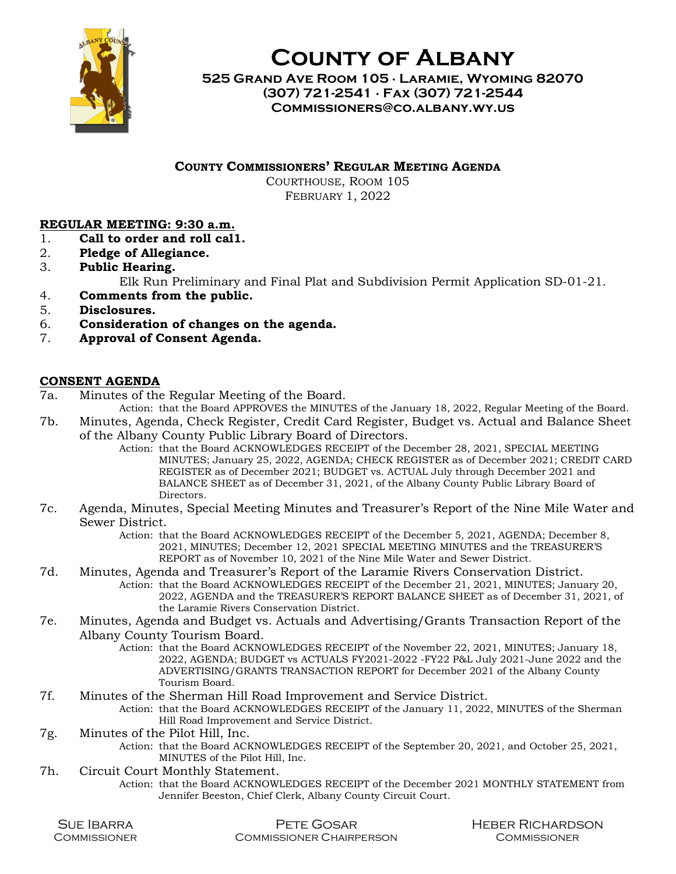

County of Albany

525 Grand Ave Room 105 ∙ Laramie, Wyoming 82070 (307) 721-2541 ∙ Fax (307) 721-2544 Commissioners@co.albany.wy.us

COUNTY COMMISSIONERS' REGULAR MEETING AGENDA

COURTHOUSE, ROOM 105 FEBRUARY 1, 2022

## REGULAR MEETING: 9:30 a.m.

- 1. Call to order and roll cal1.
- 2. Pledge of Allegiance.
- 3. Public Hearing. Elk Run Preliminary and Final Plat and Subdivision Permit Application SD-01-21.
- 4. Comments from the public.
- 5. Disclosures.
- 6. Consideration of changes on the agenda.
- 7. Approval of Consent Agenda.

## CONSENT AGENDA

7a. Minutes of the Regular Meeting of the Board.

Action: that the Board APPROVES the MINUTES of the January 18, 2022, Regular Meeting of the Board.

- 7b. Minutes, Agenda, Check Register, Credit Card Register, Budget vs. Actual and Balance Sheet of the Albany County Public Library Board of Directors.
	- Action: that the Board ACKNOWLEDGES RECEIPT of the December 28, 2021, SPECIAL MEETING MINUTES; January 25, 2022, AGENDA; CHECK REGISTER as of December 2021; CREDIT CARD REGISTER as of December 2021; BUDGET vs. ACTUAL July through December 2021 and BALANCE SHEET as of December 31, 2021, of the Albany County Public Library Board of Directors.
- 7c. Agenda, Minutes, Special Meeting Minutes and Treasurer's Report of the Nine Mile Water and Sewer District.
	- Action: that the Board ACKNOWLEDGES RECEIPT of the December 5, 2021, AGENDA; December 8, 2021, MINUTES; December 12, 2021 SPECIAL MEETING MINUTES and the TREASURER'S REPORT as of November 10, 2021 of the Nine Mile Water and Sewer District.
- 7d. Minutes, Agenda and Treasurer's Report of the Laramie Rivers Conservation District. Action: that the Board ACKNOWLEDGES RECEIPT of the December 21, 2021, MINUTES; January 20, 2022, AGENDA and the TREASURER'S REPORT BALANCE SHEET as of December 31, 2021, of the Laramie Rivers Conservation District.
- 7e. Minutes, Agenda and Budget vs. Actuals and Advertising/Grants Transaction Report of the Albany County Tourism Board.
	- Action: that the Board ACKNOWLEDGES RECEIPT of the November 22, 2021, MINUTES; January 18, 2022, AGENDA; BUDGET vs ACTUALS FY2021-2022 -FY22 P&L July 2021-June 2022 and the ADVERTISING/GRANTS TRANSACTION REPORT for December 2021 of the Albany County Tourism Board.
- 7f. Minutes of the Sherman Hill Road Improvement and Service District.
	- Action: that the Board ACKNOWLEDGES RECEIPT of the January 11, 2022, MINUTES of the Sherman Hill Road Improvement and Service District.
- 7g. Minutes of the Pilot Hill, Inc.
	- Action: that the Board ACKNOWLEDGES RECEIPT of the September 20, 2021, and October 25, 2021, MINUTES of the Pilot Hill, Inc.
- 7h. Circuit Court Monthly Statement.
	- Action: that the Board ACKNOWLEDGES RECEIPT of the December 2021 MONTHLY STATEMENT from Jennifer Beeston, Chief Clerk, Albany County Circuit Court.

| <b>SUE IBARRA</b> |  |
|-------------------|--|
| COMMISSIONER      |  |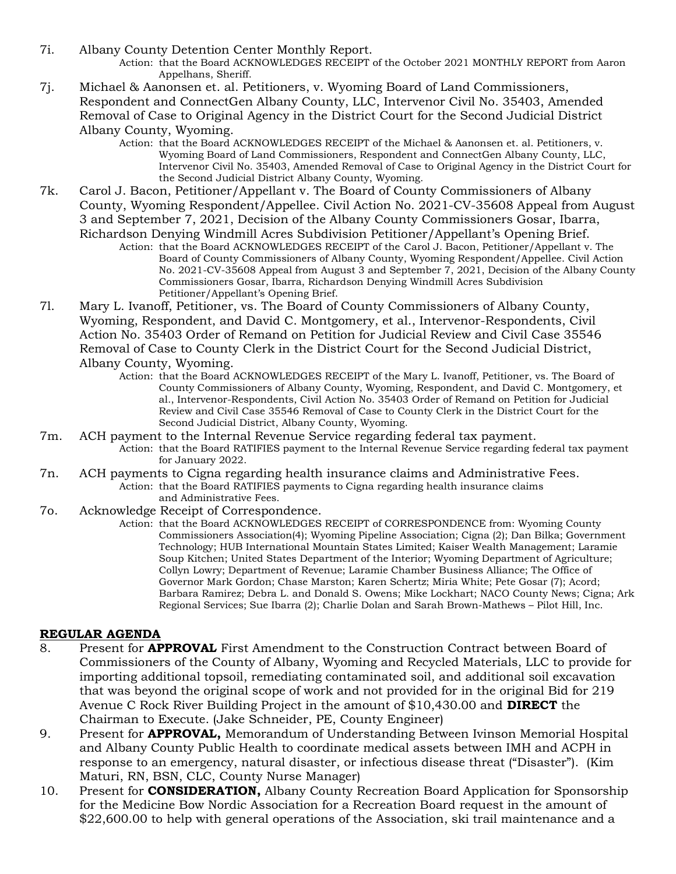- 7i. Albany County Detention Center Monthly Report. Action: that the Board ACKNOWLEDGES RECEIPT of the October 2021 MONTHLY REPORT from Aaron Appelhans, Sheriff.
- 7j. Michael & Aanonsen et. al. Petitioners, v. Wyoming Board of Land Commissioners, Respondent and ConnectGen Albany County, LLC, Intervenor Civil No. 35403, Amended Removal of Case to Original Agency in the District Court for the Second Judicial District Albany County, Wyoming.
	- Action: that the Board ACKNOWLEDGES RECEIPT of the Michael & Aanonsen et. al. Petitioners, v. Wyoming Board of Land Commissioners, Respondent and ConnectGen Albany County, LLC, Intervenor Civil No. 35403, Amended Removal of Case to Original Agency in the District Court for the Second Judicial District Albany County, Wyoming.
- 7k. Carol J. Bacon, Petitioner/Appellant v. The Board of County Commissioners of Albany County, Wyoming Respondent/Appellee. Civil Action No. 2021-CV-35608 Appeal from August 3 and September 7, 2021, Decision of the Albany County Commissioners Gosar, Ibarra, Richardson Denying Windmill Acres Subdivision Petitioner/Appellant's Opening Brief. Action: that the Board ACKNOWLEDGES RECEIPT of the Carol J. Bacon, Petitioner/Appellant v. The
	- Board of County Commissioners of Albany County, Wyoming Respondent/Appellee. Civil Action No. 2021-CV-35608 Appeal from August 3 and September 7, 2021, Decision of the Albany County Commissioners Gosar, Ibarra, Richardson Denying Windmill Acres Subdivision Petitioner/Appellant's Opening Brief.
- 7l. Mary L. Ivanoff, Petitioner, vs. The Board of County Commissioners of Albany County, Wyoming, Respondent, and David C. Montgomery, et al., Intervenor-Respondents, Civil Action No. 35403 Order of Remand on Petition for Judicial Review and Civil Case 35546 Removal of Case to County Clerk in the District Court for the Second Judicial District, Albany County, Wyoming.
	- Action: that the Board ACKNOWLEDGES RECEIPT of the Mary L. Ivanoff, Petitioner, vs. The Board of County Commissioners of Albany County, Wyoming, Respondent, and David C. Montgomery, et al., Intervenor-Respondents, Civil Action No. 35403 Order of Remand on Petition for Judicial Review and Civil Case 35546 Removal of Case to County Clerk in the District Court for the Second Judicial District, Albany County, Wyoming.
- 7m. ACH payment to the Internal Revenue Service regarding federal tax payment. Action: that the Board RATIFIES payment to the Internal Revenue Service regarding federal tax payment for January 2022.
- 7n. ACH payments to Cigna regarding health insurance claims and Administrative Fees. Action: that the Board RATIFIES payments to Cigna regarding health insurance claims and Administrative Fees.
- 7o. Acknowledge Receipt of Correspondence.
	- Action: that the Board ACKNOWLEDGES RECEIPT of CORRESPONDENCE from: Wyoming County Commissioners Association(4); Wyoming Pipeline Association; Cigna (2); Dan Bilka; Government Technology; HUB International Mountain States Limited; Kaiser Wealth Management; Laramie Soup Kitchen; United States Department of the Interior; Wyoming Department of Agriculture; Collyn Lowry; Department of Revenue; Laramie Chamber Business Alliance; The Office of Governor Mark Gordon; Chase Marston; Karen Schertz; Miria White; Pete Gosar (7); Acord; Barbara Ramirez; Debra L. and Donald S. Owens; Mike Lockhart; NACO County News; Cigna; Ark Regional Services; Sue Ibarra (2); Charlie Dolan and Sarah Brown-Mathews – Pilot Hill, Inc.

## REGULAR AGENDA

- 8. Present for **APPROVAL** First Amendment to the Construction Contract between Board of Commissioners of the County of Albany, Wyoming and Recycled Materials, LLC to provide for importing additional topsoil, remediating contaminated soil, and additional soil excavation that was beyond the original scope of work and not provided for in the original Bid for 219 Avenue C Rock River Building Project in the amount of \$10,430.00 and **DIRECT** the Chairman to Execute. (Jake Schneider, PE, County Engineer)
- 9. Present for **APPROVAL**, Memorandum of Understanding Between Ivinson Memorial Hospital and Albany County Public Health to coordinate medical assets between IMH and ACPH in response to an emergency, natural disaster, or infectious disease threat ("Disaster"). (Kim Maturi, RN, BSN, CLC, County Nurse Manager)
- 10. Present for **CONSIDERATION**, Albany County Recreation Board Application for Sponsorship for the Medicine Bow Nordic Association for a Recreation Board request in the amount of \$22,600.00 to help with general operations of the Association, ski trail maintenance and a